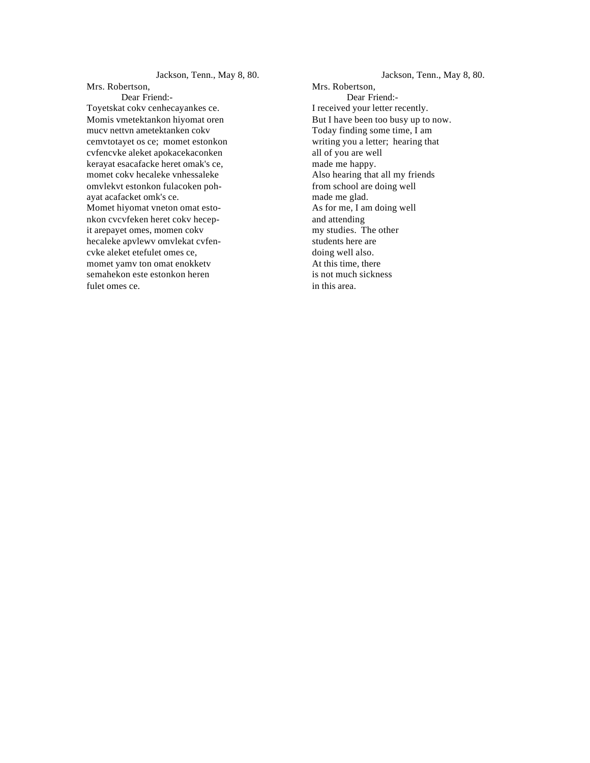Jackson, Tenn., May 8, 80. Mrs. Robertson, Dear Friend:- Toyetskat cokv cenhecayankes ce. Momis vmetektankon hiyomat oren mucv nettvn ametektanken cokv cemvtotayet os ce; momet estonkon cvfencvke aleket apokacekaconken kerayat esacafacke heret omak's ce, momet cokv hecaleke vnhessaleke omvlekvt estonkon fulacoken pohayat acafacket omk's ce. Momet hiyomat vneton omat estonkon cvcvfeken heret cokv hecepit arepayet omes, momen cokv hecaleke apvlewv omvlekat cvfencvke aleket etefulet omes ce, momet yamv ton omat enokketv semahekon este estonkon heren fulet omes ce.

Jackson, Tenn., May 8, 80. Mrs. Robertson, Dear Friend:- I received your letter recently. But I have been too busy up to now. Today finding some time, I am writing you a letter; hearing that all of you are well made me happy. Also hearing that all my friends from school are doing well made me glad. As for me, I am doing well and attending my studies. The other students here are doing well also. At this time, there is not much sickness in this area.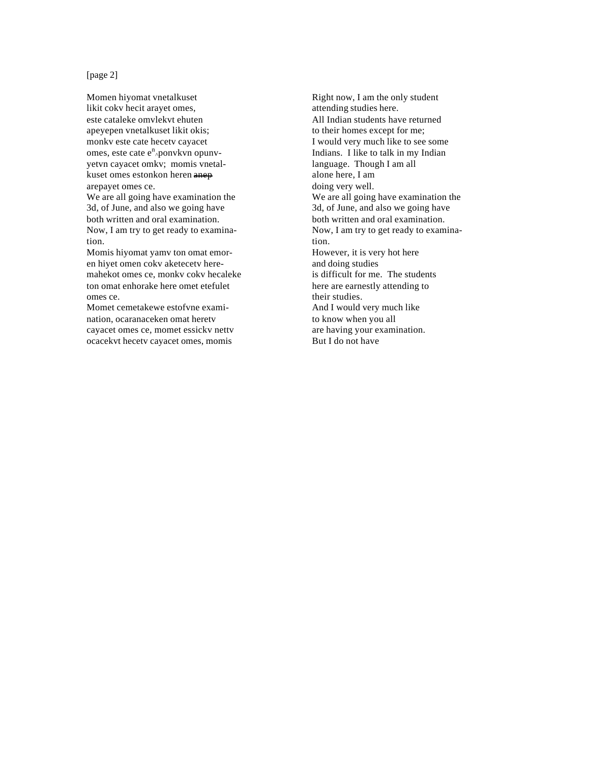[page 2]

Momen hiyomat vnetalkuset likit cokv hecit arayet omes, este cataleke omvlekvt ehuten apeyepen vnetalkuset likit okis; monkv este cate hecetv cayacet omes, este cate e<sup>n</sup> ponvkvn opunvyetvn cayacet omkv; momis vnetalkuset omes estonkon heren anep arepayet omes ce.

We are all going have examination the 3d, of June, and also we going have both written and oral examination. Now, I am try to get ready to examination.

Momis hiyomat yamv ton omat emoren hiyet omen cokv aketecetv heremahekot omes ce, monkv cokv hecaleke ton omat enhorake here omet etefulet omes ce.

Momet cemetakewe estofvne examination, ocaranaceken omat heretv cayacet omes ce, momet essickv nettv ocacekvt hecetv cayacet omes, momis

Right now, I am the only student attending studies here. All Indian students have returned to their homes except for me; I would very much like to see some Indians. I like to talk in my Indian language. Though I am all alone here, I am doing very well. We are all going have examination the 3d, of June, and also we going have both written and oral examination. Now, I am try to get ready to examination. However, it is very hot here and doing studies is difficult for me. The students here are earnestly attending to their studies. And I would very much like to know when you all are having your examination. But I do not have